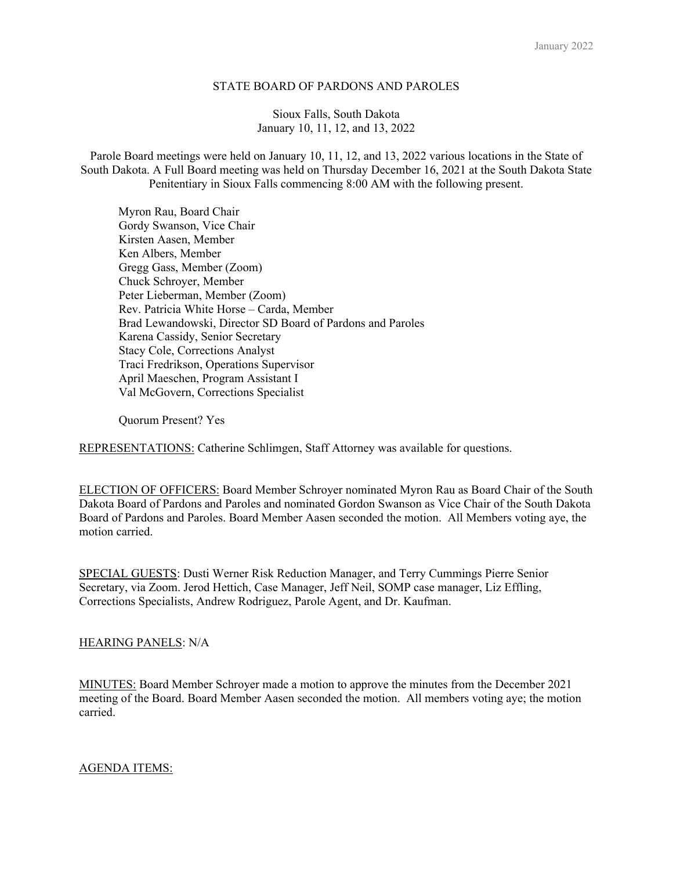### STATE BOARD OF PARDONS AND PAROLES

### Sioux Falls, South Dakota January 10, 11, 12, and 13, 2022

Parole Board meetings were held on January 10, 11, 12, and 13, 2022 various locations in the State of South Dakota. A Full Board meeting was held on Thursday December 16, 2021 at the South Dakota State Penitentiary in Sioux Falls commencing 8:00 AM with the following present.

 Myron Rau, Board Chair Gordy Swanson, Vice Chair Kirsten Aasen, Member Ken Albers, Member Gregg Gass, Member (Zoom) Chuck Schroyer, Member Peter Lieberman, Member (Zoom) Rev. Patricia White Horse – Carda, Member Brad Lewandowski, Director SD Board of Pardons and Paroles Karena Cassidy, Senior Secretary Stacy Cole, Corrections Analyst Traci Fredrikson, Operations Supervisor April Maeschen, Program Assistant I Val McGovern, Corrections Specialist

Quorum Present? Yes

REPRESENTATIONS: Catherine Schlimgen, Staff Attorney was available for questions.

ELECTION OF OFFICERS: Board Member Schroyer nominated Myron Rau as Board Chair of the South Dakota Board of Pardons and Paroles and nominated Gordon Swanson as Vice Chair of the South Dakota Board of Pardons and Paroles. Board Member Aasen seconded the motion. All Members voting aye, the motion carried.

SPECIAL GUESTS: Dusti Werner Risk Reduction Manager, and Terry Cummings Pierre Senior Secretary, via Zoom. Jerod Hettich, Case Manager, Jeff Neil, SOMP case manager, Liz Effling, Corrections Specialists, Andrew Rodriguez, Parole Agent, and Dr. Kaufman.

### HEARING PANELS: N/A

MINUTES: Board Member Schroyer made a motion to approve the minutes from the December 2021 meeting of the Board. Board Member Aasen seconded the motion. All members voting aye; the motion carried.

# AGENDA ITEMS: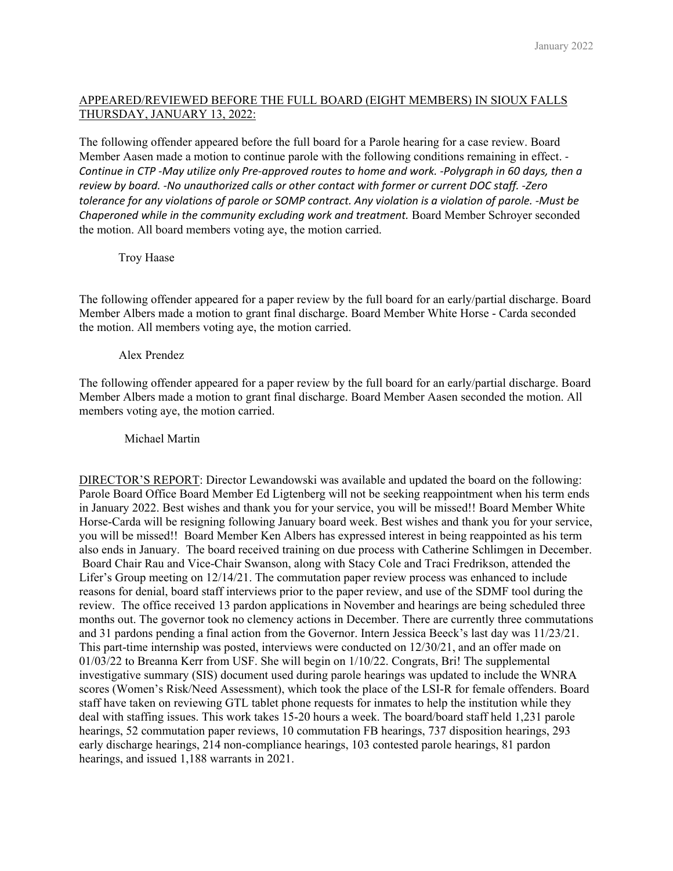## APPEARED/REVIEWED BEFORE THE FULL BOARD (EIGHT MEMBERS) IN SIOUX FALLS THURSDAY, JANUARY 13, 2022:

The following offender appeared before the full board for a Parole hearing for a case review. Board Member Aasen made a motion to continue parole with the following conditions remaining in effect. ‐ Continue in CTP -May utilize only Pre-approved routes to home and work. -Polygraph in 60 days, then a *review by board. ‐No unauthorized calls or other contact with former or current DOC staff. ‐Zero* tolerance for any violations of parole or SOMP contract. Any violation is a violation of parole. -Must be *Chaperoned while in the community excluding work and treatment.* Board Member Schroyer seconded the motion. All board members voting aye, the motion carried.

Troy Haase

The following offender appeared for a paper review by the full board for an early/partial discharge. Board Member Albers made a motion to grant final discharge. Board Member White Horse - Carda seconded the motion. All members voting aye, the motion carried.

Alex Prendez

The following offender appeared for a paper review by the full board for an early/partial discharge. Board Member Albers made a motion to grant final discharge. Board Member Aasen seconded the motion. All members voting aye, the motion carried.

Michael Martin

DIRECTOR'S REPORT: Director Lewandowski was available and updated the board on the following: Parole Board Office Board Member Ed Ligtenberg will not be seeking reappointment when his term ends in January 2022. Best wishes and thank you for your service, you will be missed!! Board Member White Horse-Carda will be resigning following January board week. Best wishes and thank you for your service, you will be missed!! Board Member Ken Albers has expressed interest in being reappointed as his term also ends in January. The board received training on due process with Catherine Schlimgen in December. Board Chair Rau and Vice-Chair Swanson, along with Stacy Cole and Traci Fredrikson, attended the Lifer's Group meeting on 12/14/21. The commutation paper review process was enhanced to include reasons for denial, board staff interviews prior to the paper review, and use of the SDMF tool during the review. The office received 13 pardon applications in November and hearings are being scheduled three months out. The governor took no clemency actions in December. There are currently three commutations and 31 pardons pending a final action from the Governor. Intern Jessica Beeck's last day was 11/23/21. This part-time internship was posted, interviews were conducted on 12/30/21, and an offer made on 01/03/22 to Breanna Kerr from USF. She will begin on 1/10/22. Congrats, Bri! The supplemental investigative summary (SIS) document used during parole hearings was updated to include the WNRA scores (Women's Risk/Need Assessment), which took the place of the LSI-R for female offenders. Board staff have taken on reviewing GTL tablet phone requests for inmates to help the institution while they deal with staffing issues. This work takes 15-20 hours a week. The board/board staff held 1,231 parole hearings, 52 commutation paper reviews, 10 commutation FB hearings, 737 disposition hearings, 293 early discharge hearings, 214 non-compliance hearings, 103 contested parole hearings, 81 pardon hearings, and issued 1,188 warrants in 2021.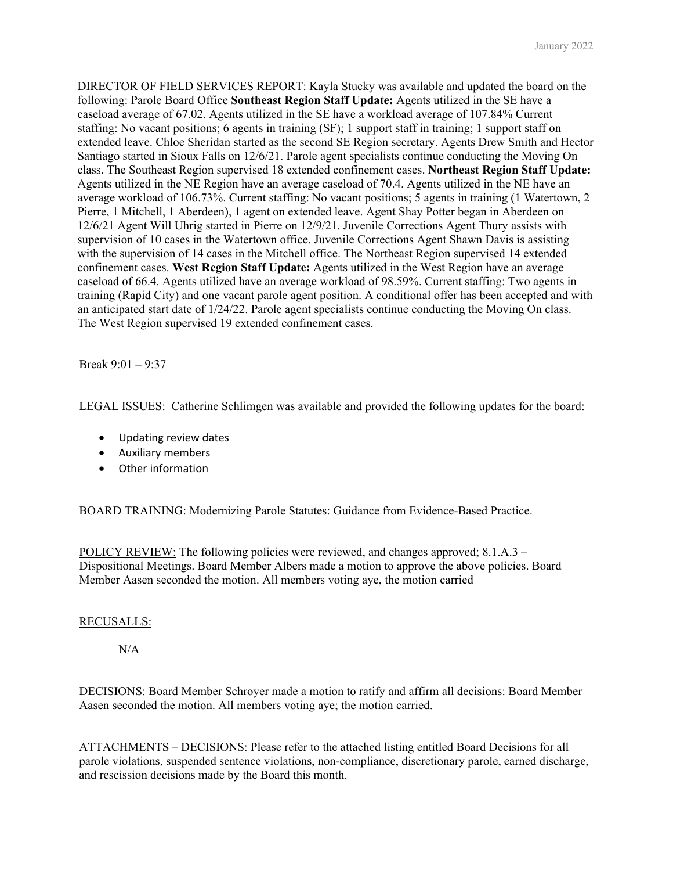DIRECTOR OF FIELD SERVICES REPORT: Kayla Stucky was available and updated the board on the following: Parole Board Office **Southeast Region Staff Update:** Agents utilized in the SE have a caseload average of 67.02. Agents utilized in the SE have a workload average of 107.84% Current staffing: No vacant positions; 6 agents in training (SF); 1 support staff in training; 1 support staff on extended leave. Chloe Sheridan started as the second SE Region secretary. Agents Drew Smith and Hector Santiago started in Sioux Falls on 12/6/21. Parole agent specialists continue conducting the Moving On class. The Southeast Region supervised 18 extended confinement cases. **Northeast Region Staff Update:**  Agents utilized in the NE Region have an average caseload of 70.4. Agents utilized in the NE have an average workload of 106.73%. Current staffing: No vacant positions; 5 agents in training (1 Watertown, 2 Pierre, 1 Mitchell, 1 Aberdeen), 1 agent on extended leave. Agent Shay Potter began in Aberdeen on 12/6/21 Agent Will Uhrig started in Pierre on 12/9/21. Juvenile Corrections Agent Thury assists with supervision of 10 cases in the Watertown office. Juvenile Corrections Agent Shawn Davis is assisting with the supervision of 14 cases in the Mitchell office. The Northeast Region supervised 14 extended confinement cases. **West Region Staff Update:** Agents utilized in the West Region have an average caseload of 66.4. Agents utilized have an average workload of 98.59%. Current staffing: Two agents in training (Rapid City) and one vacant parole agent position. A conditional offer has been accepted and with an anticipated start date of 1/24/22. Parole agent specialists continue conducting the Moving On class. The West Region supervised 19 extended confinement cases.

Break 9:01 – 9:37

LEGAL ISSUES: Catherine Schlimgen was available and provided the following updates for the board:

- Updating review dates
- Auxiliary members
- Other information

BOARD TRAINING: Modernizing Parole Statutes: Guidance from Evidence-Based Practice.

POLICY REVIEW: The following policies were reviewed, and changes approved; 8.1.A.3 – Dispositional Meetings. Board Member Albers made a motion to approve the above policies. Board Member Aasen seconded the motion. All members voting aye, the motion carried

### RECUSALLS:

N/A

DECISIONS: Board Member Schroyer made a motion to ratify and affirm all decisions: Board Member Aasen seconded the motion. All members voting aye; the motion carried.

ATTACHMENTS – DECISIONS: Please refer to the attached listing entitled Board Decisions for all parole violations, suspended sentence violations, non-compliance, discretionary parole, earned discharge, and rescission decisions made by the Board this month.